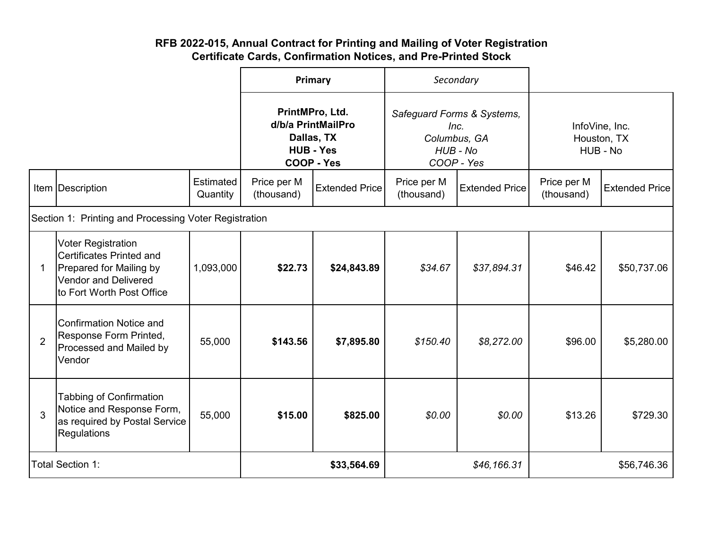## **RFB 2022-015, Annual Contract for Printing and Mailing of Voter Registration Certificate Cards, Confirmation Notices, and Pre-Printed Stock**

|                         |                                                                                                                                              | Primary                                                                                      |                           | Secondary                                                                    |                           |                                           |                           |                       |
|-------------------------|----------------------------------------------------------------------------------------------------------------------------------------------|----------------------------------------------------------------------------------------------|---------------------------|------------------------------------------------------------------------------|---------------------------|-------------------------------------------|---------------------------|-----------------------|
|                         |                                                                                                                                              | PrintMPro, Ltd.<br>d/b/a PrintMailPro<br>Dallas, TX<br><b>HUB - Yes</b><br><b>COOP - Yes</b> |                           | Safeguard Forms & Systems,<br>Inc.<br>Columbus, GA<br>HUB - No<br>COOP - Yes |                           | InfoVine, Inc.<br>Houston, TX<br>HUB - No |                           |                       |
|                         | Item Description                                                                                                                             | Estimated<br>Quantity                                                                        | Price per M<br>(thousand) | <b>Extended Price</b>                                                        | Price per M<br>(thousand) | <b>Extended Price</b>                     | Price per M<br>(thousand) | <b>Extended Price</b> |
|                         | Section 1: Printing and Processing Voter Registration                                                                                        |                                                                                              |                           |                                                                              |                           |                                           |                           |                       |
| 1                       | <b>Voter Registration</b><br>Certificates Printed and<br>Prepared for Mailing by<br><b>Vendor and Delivered</b><br>to Fort Worth Post Office | 1,093,000                                                                                    | \$22.73                   | \$24,843.89                                                                  | \$34.67                   | \$37,894.31                               | \$46.42                   | \$50,737.06           |
| $\overline{2}$          | <b>Confirmation Notice and</b><br>Response Form Printed,<br>Processed and Mailed by<br>Vendor                                                | 55,000                                                                                       | \$143.56                  | \$7,895.80                                                                   | \$150.40                  | \$8,272.00                                | \$96.00                   | \$5,280.00            |
| 3                       | <b>Tabbing of Confirmation</b><br>Notice and Response Form,<br>as required by Postal Service<br>Regulations                                  | 55,000                                                                                       | \$15.00                   | \$825.00                                                                     | \$0.00                    | \$0.00                                    | \$13.26                   | \$729.30              |
| <b>Total Section 1:</b> |                                                                                                                                              |                                                                                              | \$33,564.69               |                                                                              | \$46,166.31               |                                           | \$56,746.36               |                       |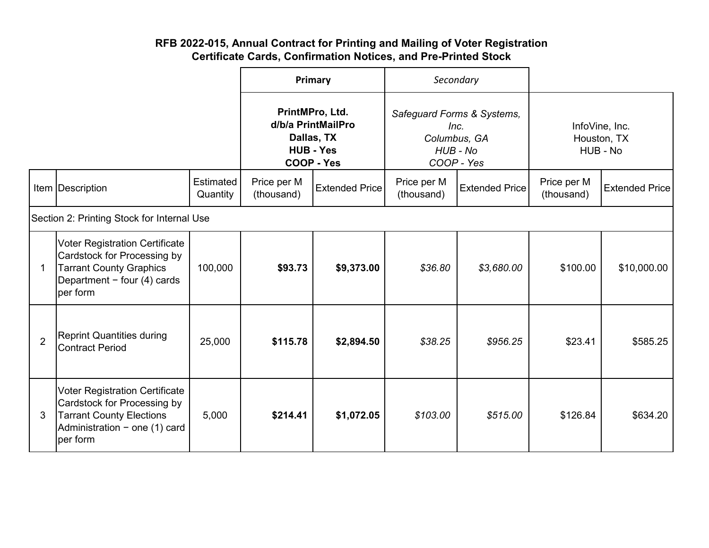## **RFB 2022-015, Annual Contract for Printing and Mailing of Voter Registration Certificate Cards, Confirmation Notices, and Pre-Printed Stock**

|                                            |                                                                                                                                                      |                       | Primary                                                                               |                       | Secondary                                                                    |                       |                                           |                       |
|--------------------------------------------|------------------------------------------------------------------------------------------------------------------------------------------------------|-----------------------|---------------------------------------------------------------------------------------|-----------------------|------------------------------------------------------------------------------|-----------------------|-------------------------------------------|-----------------------|
|                                            |                                                                                                                                                      |                       | PrintMPro, Ltd.<br>d/b/a PrintMailPro<br>Dallas, TX<br><b>HUB - Yes</b><br>COOP - Yes |                       | Safeguard Forms & Systems,<br>Inc.<br>Columbus, GA<br>HUB - No<br>COOP - Yes |                       | InfoVine, Inc.<br>Houston, TX<br>HUB - No |                       |
|                                            | Item Description                                                                                                                                     | Estimated<br>Quantity | Price per M<br>(thousand)                                                             | <b>Extended Price</b> | Price per M<br>(thousand)                                                    | <b>Extended Price</b> | Price per M<br>(thousand)                 | <b>Extended Price</b> |
| Section 2: Printing Stock for Internal Use |                                                                                                                                                      |                       |                                                                                       |                       |                                                                              |                       |                                           |                       |
| $\mathbf 1$                                | <b>Voter Registration Certificate</b><br>Cardstock for Processing by<br><b>Tarrant County Graphics</b><br>Department - four (4) cards<br>per form    | 100,000               | \$93.73                                                                               | \$9,373.00            | \$36.80                                                                      | \$3,680.00            | \$100.00                                  | \$10,000.00           |
| $\overline{2}$                             | <b>Reprint Quantities during</b><br>Contract Period                                                                                                  | 25,000                | \$115.78                                                                              | \$2,894.50            | \$38.25                                                                      | \$956.25              | \$23.41                                   | \$585.25              |
| 3                                          | <b>Voter Registration Certificate</b><br>Cardstock for Processing by<br><b>Tarrant County Elections</b><br>Administration - one (1) card<br>per form | 5,000                 | \$214.41                                                                              | \$1,072.05            | \$103.00                                                                     | \$515.00              | \$126.84                                  | \$634.20              |